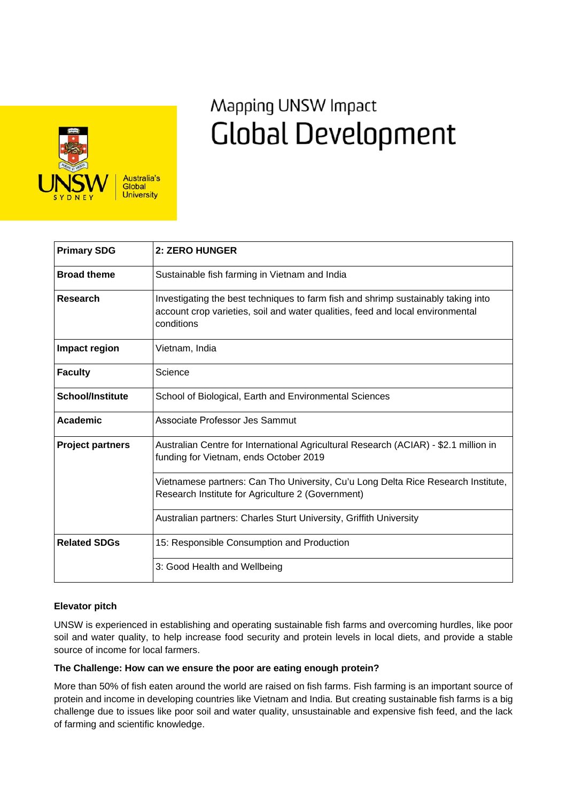

# Mapping UNSW Impact **Global Development**

| <b>Primary SDG</b>      | 2: ZERO HUNGER                                                                                                                                                                    |
|-------------------------|-----------------------------------------------------------------------------------------------------------------------------------------------------------------------------------|
| <b>Broad theme</b>      | Sustainable fish farming in Vietnam and India                                                                                                                                     |
| <b>Research</b>         | Investigating the best techniques to farm fish and shrimp sustainably taking into<br>account crop varieties, soil and water qualities, feed and local environmental<br>conditions |
| Impact region           | Vietnam, India                                                                                                                                                                    |
| <b>Faculty</b>          | Science                                                                                                                                                                           |
| <b>School/Institute</b> | School of Biological, Earth and Environmental Sciences                                                                                                                            |
| Academic                | Associate Professor Jes Sammut                                                                                                                                                    |
| <b>Project partners</b> | Australian Centre for International Agricultural Research (ACIAR) - \$2.1 million in<br>funding for Vietnam, ends October 2019                                                    |
|                         | Vietnamese partners: Can Tho University, Cu'u Long Delta Rice Research Institute,<br>Research Institute for Agriculture 2 (Government)                                            |
|                         | Australian partners: Charles Sturt University, Griffith University                                                                                                                |
| <b>Related SDGs</b>     | 15: Responsible Consumption and Production                                                                                                                                        |
|                         | 3: Good Health and Wellbeing                                                                                                                                                      |

## **Elevator pitch**

UNSW is experienced in establishing and operating sustainable fish farms and overcoming hurdles, like poor soil and water quality, to help increase food security and protein levels in local diets, and provide a stable source of income for local farmers.

## **The Challenge: How can we ensure the poor are eating enough protein?**

More than 50% of fish eaten around the world are raised on fish farms. Fish farming is an important source of protein and income in developing countries like Vietnam and India. But creating sustainable fish farms is a big challenge due to issues like poor soil and water quality, unsustainable and expensive fish feed, and the lack of farming and scientific knowledge.